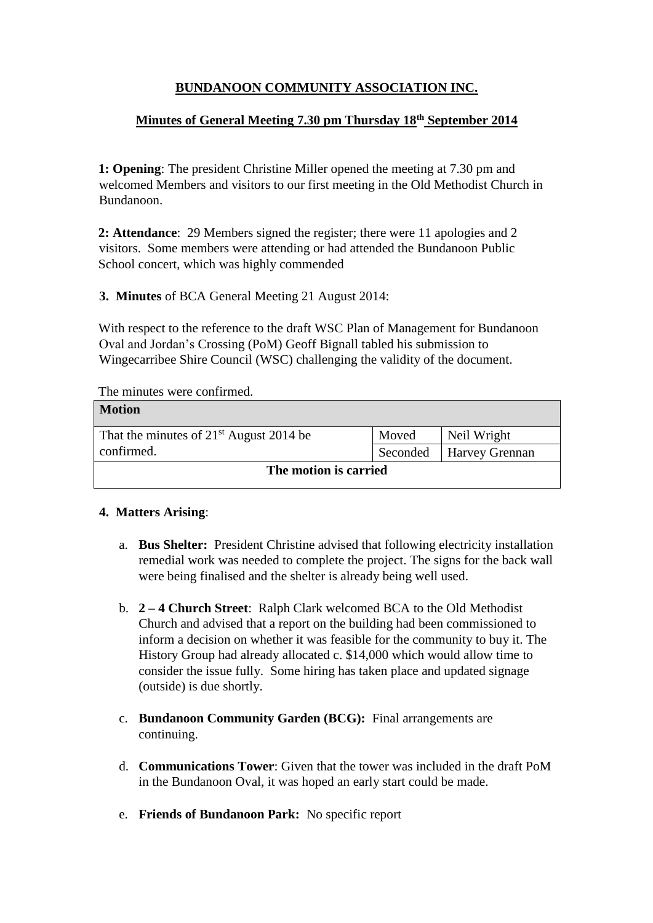# **BUNDANOON COMMUNITY ASSOCIATION INC.**

## **Minutes of General Meeting 7.30 pm Thursday 18th September 2014**

**1: Opening**: The president Christine Miller opened the meeting at 7.30 pm and welcomed Members and visitors to our first meeting in the Old Methodist Church in Bundanoon.

**2: Attendance**: 29 Members signed the register; there were 11 apologies and 2 visitors. Some members were attending or had attended the Bundanoon Public School concert, which was highly commended

**3. Minutes** of BCA General Meeting 21 August 2014:

With respect to the reference to the draft WSC Plan of Management for Bundanoon Oval and Jordan's Crossing (PoM) Geoff Bignall tabled his submission to Wingecarribee Shire Council (WSC) challenging the validity of the document.

The minutes were confirmed.

| <b>Motion</b>                             |          |                       |  |
|-------------------------------------------|----------|-----------------------|--|
| That the minutes of $21st$ August 2014 be | Moved    | Neil Wright           |  |
| confirmed.                                | Seconded | <b>Harvey Grennan</b> |  |
| The motion is carried                     |          |                       |  |

### **4. Matters Arising**:

- a. **Bus Shelter:** President Christine advised that following electricity installation remedial work was needed to complete the project. The signs for the back wall were being finalised and the shelter is already being well used.
- b. **2 – 4 Church Street**: Ralph Clark welcomed BCA to the Old Methodist Church and advised that a report on the building had been commissioned to inform a decision on whether it was feasible for the community to buy it. The History Group had already allocated c. \$14,000 which would allow time to consider the issue fully. Some hiring has taken place and updated signage (outside) is due shortly.
- c. **Bundanoon Community Garden (BCG):** Final arrangements are continuing.
- d. **Communications Tower**: Given that the tower was included in the draft PoM in the Bundanoon Oval, it was hoped an early start could be made.
- e. **Friends of Bundanoon Park:** No specific report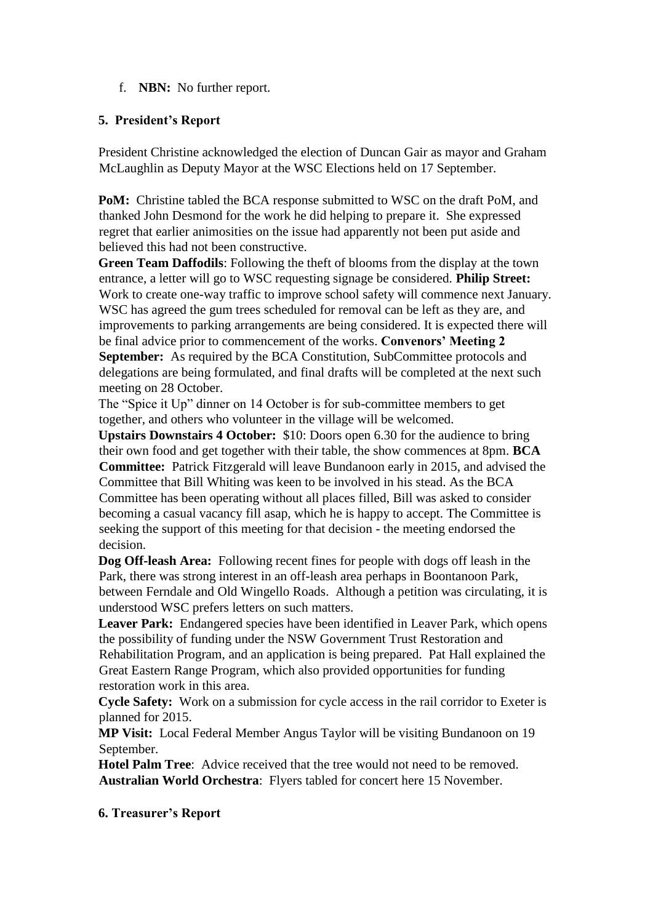### f. **NBN:** No further report.

#### **5. President's Report**

President Christine acknowledged the election of Duncan Gair as mayor and Graham McLaughlin as Deputy Mayor at the WSC Elections held on 17 September.

**PoM:** Christine tabled the BCA response submitted to WSC on the draft PoM, and thanked John Desmond for the work he did helping to prepare it. She expressed regret that earlier animosities on the issue had apparently not been put aside and believed this had not been constructive.

**Green Team Daffodils**: Following the theft of blooms from the display at the town entrance, a letter will go to WSC requesting signage be considered. **Philip Street:** Work to create one-way traffic to improve school safety will commence next January. WSC has agreed the gum trees scheduled for removal can be left as they are, and improvements to parking arrangements are being considered. It is expected there will be final advice prior to commencement of the works. **Convenors' Meeting 2 September:** As required by the BCA Constitution, SubCommittee protocols and delegations are being formulated, and final drafts will be completed at the next such meeting on 28 October.

The "Spice it Up" dinner on 14 October is for sub-committee members to get together, and others who volunteer in the village will be welcomed.

**Upstairs Downstairs 4 October:** \$10: Doors open 6.30 for the audience to bring their own food and get together with their table, the show commences at 8pm. **BCA Committee:** Patrick Fitzgerald will leave Bundanoon early in 2015, and advised the Committee that Bill Whiting was keen to be involved in his stead. As the BCA Committee has been operating without all places filled, Bill was asked to consider becoming a casual vacancy fill asap, which he is happy to accept. The Committee is seeking the support of this meeting for that decision - the meeting endorsed the decision.

**Dog Off-leash Area:** Following recent fines for people with dogs off leash in the Park, there was strong interest in an off-leash area perhaps in Boontanoon Park, between Ferndale and Old Wingello Roads. Although a petition was circulating, it is understood WSC prefers letters on such matters.

**Leaver Park:** Endangered species have been identified in Leaver Park, which opens the possibility of funding under the NSW Government Trust Restoration and Rehabilitation Program, and an application is being prepared. Pat Hall explained the Great Eastern Range Program, which also provided opportunities for funding restoration work in this area.

**Cycle Safety:** Work on a submission for cycle access in the rail corridor to Exeter is planned for 2015.

**MP Visit:** Local Federal Member Angus Taylor will be visiting Bundanoon on 19 September.

**Hotel Palm Tree**: Advice received that the tree would not need to be removed. **Australian World Orchestra**: Flyers tabled for concert here 15 November.

#### **6. Treasurer's Report**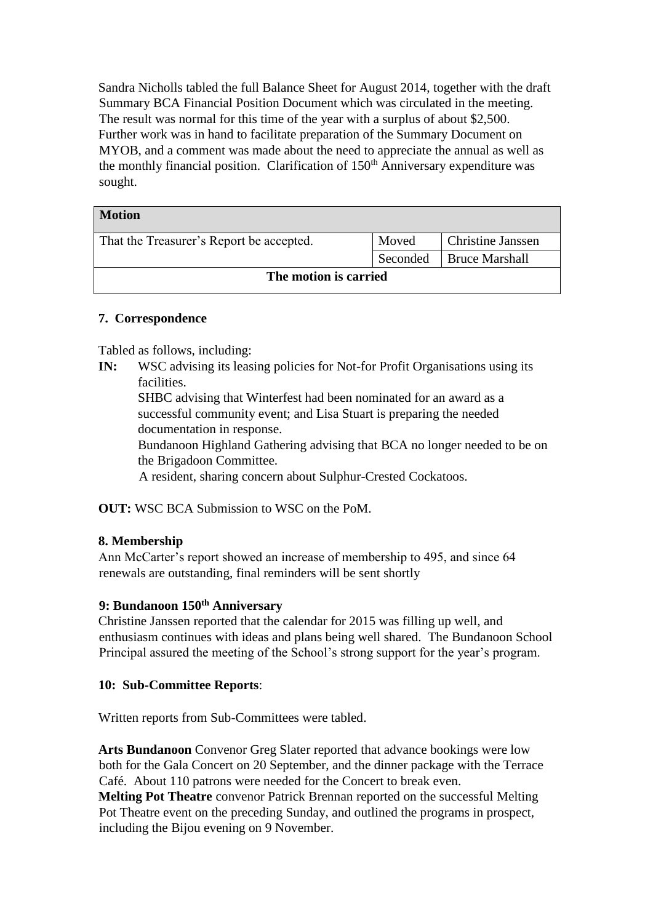Sandra Nicholls tabled the full Balance Sheet for August 2014, together with the draft Summary BCA Financial Position Document which was circulated in the meeting. The result was normal for this time of the year with a surplus of about \$2,500. Further work was in hand to facilitate preparation of the Summary Document on MYOB, and a comment was made about the need to appreciate the annual as well as the monthly financial position. Clarification of  $150<sup>th</sup>$  Anniversary expenditure was sought.

| <b>Motion</b>                            |          |                          |
|------------------------------------------|----------|--------------------------|
| That the Treasurer's Report be accepted. | Moved    | <b>Christine Janssen</b> |
|                                          | Seconded | <b>Bruce Marshall</b>    |
| The motion is carried                    |          |                          |

### **7. Correspondence**

Tabled as follows, including:

**IN:** WSC advising its leasing policies for Not-for Profit Organisations using its facilities.

SHBC advising that Winterfest had been nominated for an award as a successful community event; and Lisa Stuart is preparing the needed documentation in response.

Bundanoon Highland Gathering advising that BCA no longer needed to be on the Brigadoon Committee.

A resident, sharing concern about Sulphur-Crested Cockatoos.

**OUT:** WSC BCA Submission to WSC on the PoM.

#### **8. Membership**

Ann McCarter's report showed an increase of membership to 495, and since 64 renewals are outstanding, final reminders will be sent shortly

#### **9: Bundanoon 150th Anniversary**

Christine Janssen reported that the calendar for 2015 was filling up well, and enthusiasm continues with ideas and plans being well shared. The Bundanoon School Principal assured the meeting of the School's strong support for the year's program.

### **10: Sub-Committee Reports**:

Written reports from Sub-Committees were tabled.

**Arts Bundanoon** Convenor Greg Slater reported that advance bookings were low both for the Gala Concert on 20 September, and the dinner package with the Terrace Café. About 110 patrons were needed for the Concert to break even.

**Melting Pot Theatre** convenor Patrick Brennan reported on the successful Melting Pot Theatre event on the preceding Sunday, and outlined the programs in prospect, including the Bijou evening on 9 November.